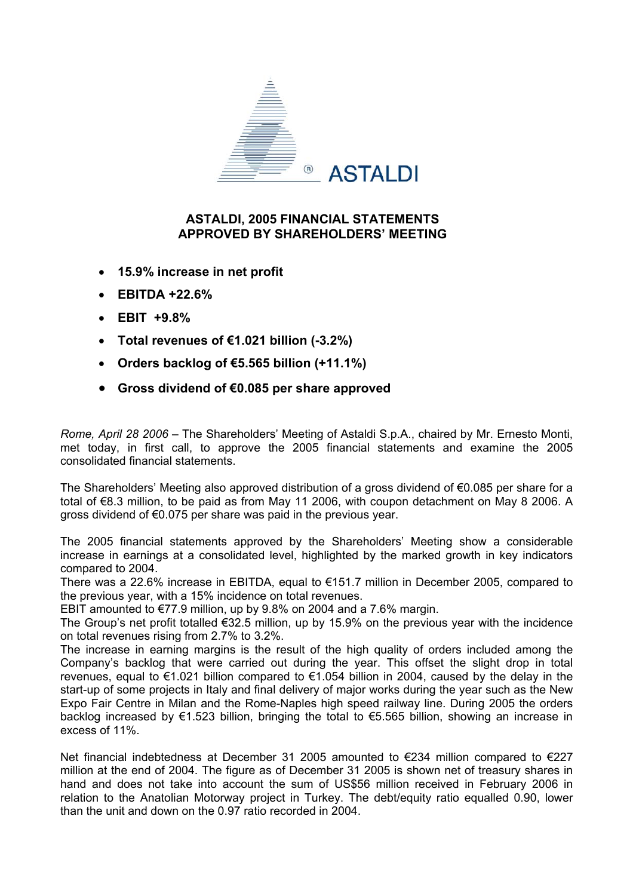

## **ASTALDI, 2005 FINANCIAL STATEMENTS APPROVED BY SHAREHOLDERS' MEETING**

- **15.9% increase in net profit**
- **EBITDA +22.6%**
- **EBIT +9.8%**
- **Total revenues of €1.021 billion (-3.2%)**
- **Orders backlog of €5.565 billion (+11.1%)**
- **Gross dividend of €0.085 per share approved**

*Rome, April 28 2006* – The Shareholders' Meeting of Astaldi S.p.A., chaired by Mr. Ernesto Monti, met today, in first call, to approve the 2005 financial statements and examine the 2005 consolidated financial statements.

The Shareholders' Meeting also approved distribution of a gross dividend of €0.085 per share for a total of €8.3 million, to be paid as from May 11 2006, with coupon detachment on May 8 2006. A gross dividend of €0.075 per share was paid in the previous year.

The 2005 financial statements approved by the Shareholders' Meeting show a considerable increase in earnings at a consolidated level, highlighted by the marked growth in key indicators compared to 2004.

There was a 22.6% increase in EBITDA, equal to €151.7 million in December 2005, compared to the previous year, with a 15% incidence on total revenues.

EBIT amounted to  $\epsilon$ 77.9 million, up by 9.8% on 2004 and a 7.6% margin.

The Group's net profit totalled €32.5 million, up by 15.9% on the previous year with the incidence on total revenues rising from 2.7% to 3.2%.

The increase in earning margins is the result of the high quality of orders included among the Company's backlog that were carried out during the year. This offset the slight drop in total revenues, equal to €1.021 billion compared to €1.054 billion in 2004, caused by the delay in the start-up of some projects in Italy and final delivery of major works during the year such as the New Expo Fair Centre in Milan and the Rome-Naples high speed railway line. During 2005 the orders backlog increased by €1.523 billion, bringing the total to €5.565 billion, showing an increase in excess of 11%.

Net financial indebtedness at December 31 2005 amounted to €234 million compared to €227 million at the end of 2004. The figure as of December 31 2005 is shown net of treasury shares in hand and does not take into account the sum of US\$56 million received in February 2006 in relation to the Anatolian Motorway project in Turkey. The debt/equity ratio equalled 0.90, lower than the unit and down on the 0.97 ratio recorded in 2004.